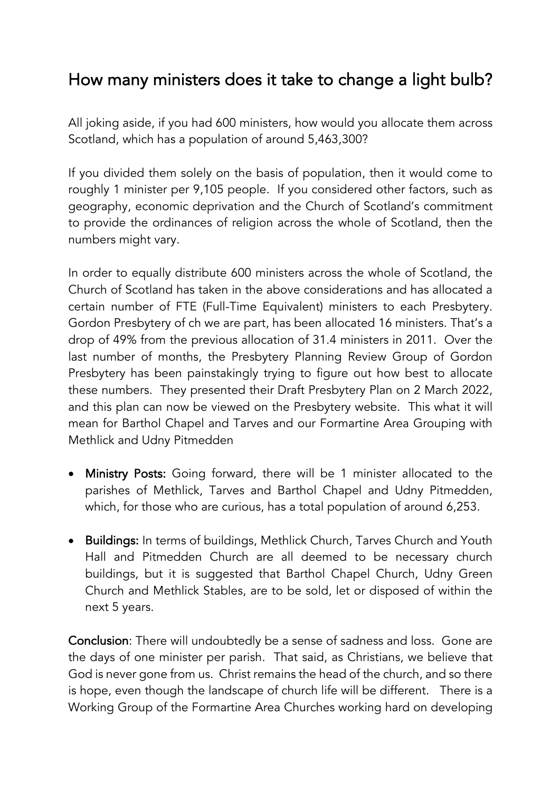## How many ministers does it take to change a light bulb?

All joking aside, if you had 600 ministers, how would you allocate them across Scotland, which has a population of around 5,463,300?

If you divided them solely on the basis of population, then it would come to roughly 1 minister per 9,105 people. If you considered other factors, such as geography, economic deprivation and the Church of Scotland's commitment to provide the ordinances of religion across the whole of Scotland, then the numbers might vary.

In order to equally distribute 600 ministers across the whole of Scotland, the Church of Scotland has taken in the above considerations and has allocated a certain number of FTE (Full-Time Equivalent) ministers to each Presbytery. Gordon Presbytery of ch we are part, has been allocated 16 ministers. That's a drop of 49% from the previous allocation of 31.4 ministers in 2011. Over the last number of months, the Presbytery Planning Review Group of Gordon Presbytery has been painstakingly trying to figure out how best to allocate these numbers. They presented their Draft Presbytery Plan on 2 March 2022, and this plan can now be viewed on the Presbytery website. This what it will mean for Barthol Chapel and Tarves and our Formartine Area Grouping with Methlick and Udny Pitmedden

- Ministry Posts: Going forward, there will be 1 minister allocated to the parishes of Methlick, Tarves and Barthol Chapel and Udny Pitmedden, which, for those who are curious, has a total population of around 6,253.
- Buildings: In terms of buildings, Methlick Church, Tarves Church and Youth Hall and Pitmedden Church are all deemed to be necessary church buildings, but it is suggested that Barthol Chapel Church, Udny Green Church and Methlick Stables, are to be sold, let or disposed of within the next 5 years.

Conclusion: There will undoubtedly be a sense of sadness and loss. Gone are the days of one minister per parish. That said, as Christians, we believe that God is never gone from us. Christ remains the head of the church, and so there is hope, even though the landscape of church life will be different. There is a Working Group of the Formartine Area Churches working hard on developing